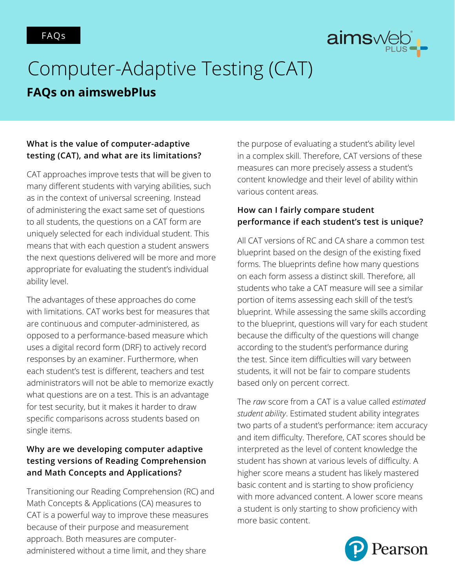

# Computer-Adaptive Testing (CAT)

# **FAQs on aimswebPlus**

# **What is the value of computer-adaptive testing (CAT), and what are its limitations?**

CAT approaches improve tests that will be given to many different students with varying abilities, such as in the context of universal screening. Instead of administering the exact same set of questions to all students, the questions on a CAT form are uniquely selected for each individual student. This means that with each question a student answers the next questions delivered will be more and more appropriate for evaluating the student's individual ability level.

The advantages of these approaches do come with limitations. CAT works best for measures that are continuous and computer-administered, as opposed to a performance-based measure which uses a digital record form (DRF) to actively record responses by an examiner. Furthermore, when each student's test is different, teachers and test administrators will not be able to memorize exactly what questions are on a test. This is an advantage for test security, but it makes it harder to draw specific comparisons across students based on single items.

# **Why are we developing computer adaptive testing versions of Reading Comprehension and Math Concepts and Applications?**

Transitioning our Reading Comprehension (RC) and Math Concepts & Applications (CA) measures to CAT is a powerful way to improve these measures because of their purpose and measurement approach. Both measures are computeradministered without a time limit, and they share

the purpose of evaluating a student's ability level in a complex skill. Therefore, CAT versions of these measures can more precisely assess a student's content knowledge and their level of ability within various content areas.

# **How can I fairly compare student performance if each student's test is unique?**

All CAT versions of RC and CA share a common test blueprint based on the design of the existing fixed forms. The blueprints define how many questions on each form assess a distinct skill. Therefore, all students who take a CAT measure will see a similar portion of items assessing each skill of the test's blueprint. While assessing the same skills according to the blueprint, questions will vary for each student because the difficulty of the questions will change according to the student's performance during the test. Since item difficulties will vary between students, it will not be fair to compare students based only on percent correct.

The *raw* score from a CAT is a value called *estimated student ability*. Estimated student ability integrates two parts of a student's performance: item accuracy and item difficulty. Therefore, CAT scores should be interpreted as the level of content knowledge the student has shown at various levels of difficulty. A higher score means a student has likely mastered basic content and is starting to show proficiency with more advanced content. A lower score means a student is only starting to show proficiency with more basic content.

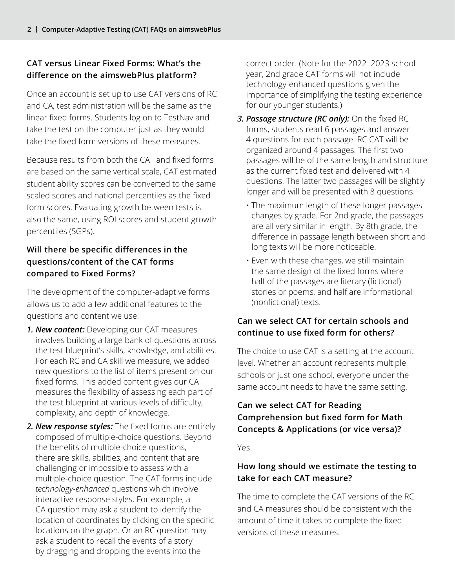# **CAT versus Linear Fixed Forms: What's the difference on the aimswebPlus platform?**

Once an account is set up to use CAT versions of RC and CA, test administration will be the same as the linear fixed forms. Students log on to TestNav and take the test on the computer just as they would take the fixed form versions of these measures.

Because results from both the CAT and fixed forms are based on the same vertical scale, CAT estimated student ability scores can be converted to the same scaled scores and national percentiles as the fixed form scores. Evaluating growth between tests is also the same, using ROI scores and student growth percentiles (SGPs).

# **Will there be specific differences in the questions/content of the CAT forms compared to Fixed Forms?**

The development of the computer-adaptive forms allows us to add a few additional features to the questions and content we use:

- *1. New content:* Developing our CAT measures involves building a large bank of questions across the test blueprint's skills, knowledge, and abilities. For each RC and CA skill we measure, we added new questions to the list of items present on our fixed forms. This added content gives our CAT measures the flexibility of assessing each part of the test blueprint at various levels of difficulty, complexity, and depth of knowledge.
- *2. New response styles:* The fixed forms are entirely composed of multiple-choice questions. Beyond the benefits of multiple-choice questions, there are skills, abilities, and content that are challenging or impossible to assess with a multiple-choice question. The CAT forms include *technology-enhanced* questions which involve interactive response styles. For example, a CA question may ask a student to identify the location of coordinates by clicking on the specific locations on the graph. Or an RC question may ask a student to recall the events of a story by dragging and dropping the events into the

correct order. (Note for the 2022–2023 school year, 2nd grade CAT forms will not include technology-enhanced questions given the importance of simplifying the testing experience for our younger students.)

- *3. Passage structure (RC only):* On the fixed RC forms, students read 6 passages and answer 4 questions for each passage. RC CAT will be organized around 4 passages. The first two passages will be of the same length and structure as the current fixed test and delivered with 4 questions. The latter two passages will be slightly longer and will be presented with 8 questions.
	- The maximum length of these longer passages changes by grade. For 2nd grade, the passages are all very similar in length. By 8th grade, the difference in passage length between short and long texts will be more noticeable.
	- Even with these changes, we still maintain the same design of the fixed forms where half of the passages are literary (fictional) stories or poems, and half are informational (nonfictional) texts.

# **Can we select CAT for certain schools and continue to use fixed form for others?**

The choice to use CAT is a setting at the account level. Whether an account represents multiple schools or just one school, everyone under the same account needs to have the same setting.

# **Can we select CAT for Reading Comprehension but fixed form for Math Concepts & Applications (or vice versa)?**

Yes.

# **How long should we estimate the testing to take for each CAT measure?**

The time to complete the CAT versions of the RC and CA measures should be consistent with the amount of time it takes to complete the fixed versions of these measures.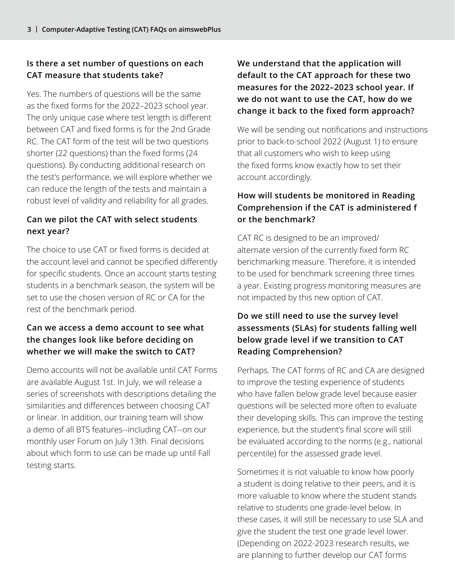# **Is there a set number of questions on each CAT measure that students take?**

Yes. The numbers of questions will be the same as the fixed forms for the 2022–2023 school year. The only unique case where test length is different between CAT and fixed forms is for the 2nd Grade RC. The CAT form of the test will be two questions shorter (22 questions) than the fixed forms (24 questions). By conducting additional research on the test's performance, we will explore whether we can reduce the length of the tests and maintain a robust level of validity and reliability for all grades.

# **Can we pilot the CAT with select students next year?**

The choice to use CAT or fixed forms is decided at the account level and cannot be specified differently for specific students. Once an account starts testing students in a benchmark season, the system will be set to use the chosen version of RC or CA for the rest of the benchmark period.

# **Can we access a demo account to see what the changes look like before deciding on whether we will make the switch to CAT?**

Demo accounts will not be available until CAT Forms are available August 1st. In July, we will release a series of screenshots with descriptions detailing the similarities and differences between choosing CAT or linear. In addition, our training team will show a demo of all BTS features--including CAT--on our monthly user Forum on July 13th. Final decisions about which form to use can be made up until Fall testing starts.

# **We understand that the application will default to the CAT approach for these two measures for the 2022–2023 school year. If we do not want to use the CAT, how do we change it back to the fixed form approach?**

We will be sending out notifications and instructions prior to back-to-school 2022 (August 1) to ensure that all customers who wish to keep using the fixed forms know exactly how to set their account accordingly.

# **How will students be monitored in Reading Comprehension if the CAT is administered f or the benchmark?**

CAT RC is designed to be an improved/ alternate version of the currently fixed form RC benchmarking measure. Therefore, it is intended to be used for benchmark screening three times a year. Existing progress monitoring measures are not impacted by this new option of CAT.

# **Do we still need to use the survey level assessments (SLAs) for students falling well below grade level if we transition to CAT Reading Comprehension?**

Perhaps. The CAT forms of RC and CA are designed to improve the testing experience of students who have fallen below grade level because easier questions will be selected more often to evaluate their developing skills. This can improve the testing experience, but the student's final score will still be evaluated according to the norms (e.g., national percentile) for the assessed grade level.

Sometimes it is not valuable to know how poorly a student is doing relative to their peers, and it is more valuable to know where the student stands relative to students one grade-level below. In these cases, it will still be necessary to use SLA and give the student the test one grade level lower. (Depending on 2022-2023 research results, we are planning to further develop our CAT forms